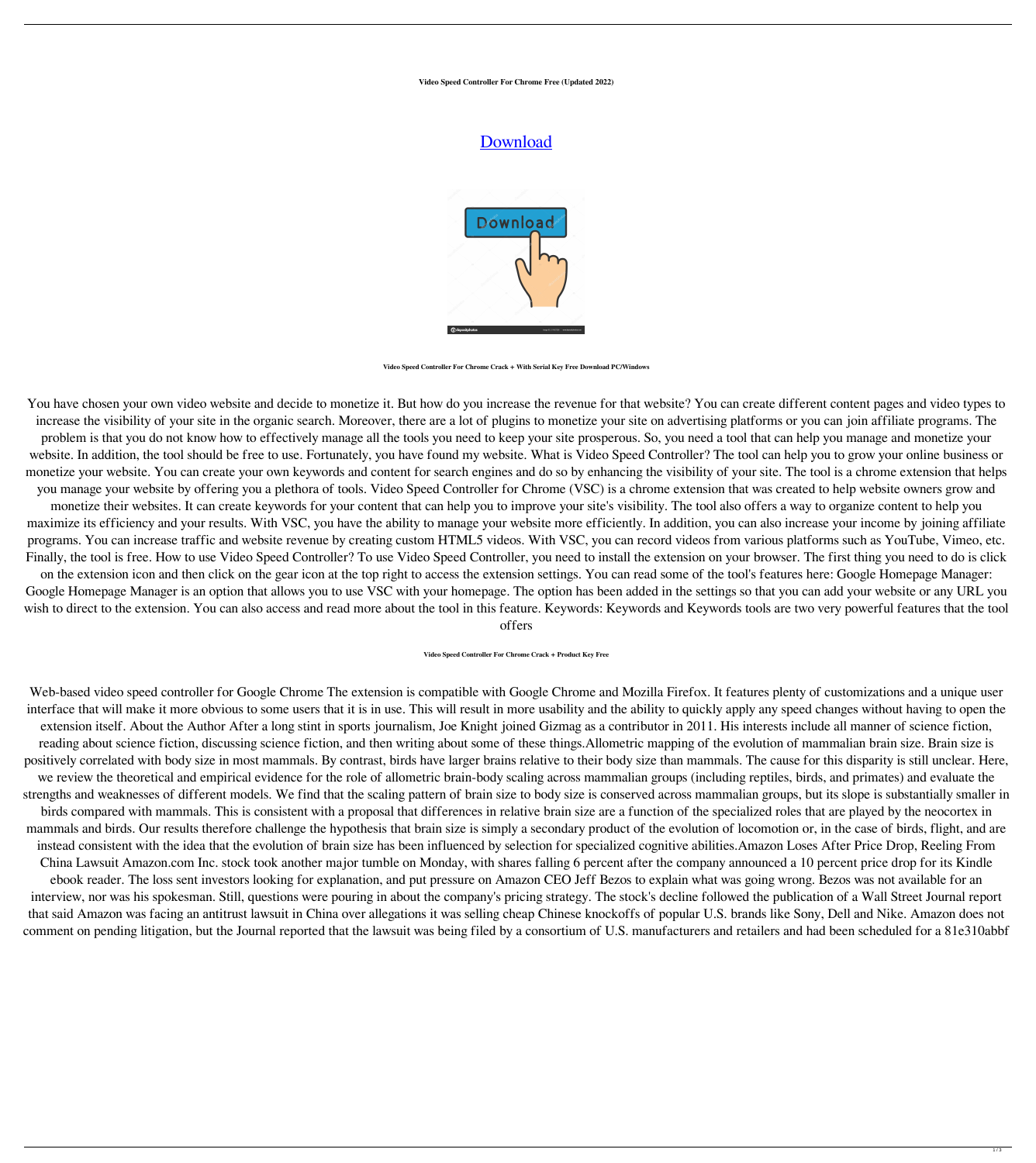**Video Speed Controller For Chrome Free (Updated 2022)**

## **[Download](http://evacdir.com/asses/conditioning/ZG93bmxvYWR8aVkzTm5KdllYeDhNVFkxTkRRek5qWTFPSHg4TWpVNU1IeDhLRTBwSUZkdmNtUndjbVZ6Y3lCYldFMU1VbEJESUZZeUlGQkVSbDA/bravely/VmlkZW8gU3BlZWQgQ29udHJvbGxlciBmb3IgQ2hyb21lVml/kupperman/)**



**Video Speed Controller For Chrome Crack + With Serial Key Free Download PC/Windows**

You have chosen your own video website and decide to monetize it. But how do you increase the revenue for that website? You can create different content pages and video types to increase the visibility of your site in the organic search. Moreover, there are a lot of plugins to monetize your site on advertising platforms or you can join affiliate programs. The problem is that you do not know how to effectively manage all the tools you need to keep your site prosperous. So, you need a tool that can help you manage and monetize your website. In addition, the tool should be free to use. Fortunately, you have found my website. What is Video Speed Controller? The tool can help you to grow your online business or monetize your website. You can create your own keywords and content for search engines and do so by enhancing the visibility of your site. The tool is a chrome extension that helps you manage your website by offering you a plethora of tools. Video Speed Controller for Chrome (VSC) is a chrome extension that was created to help website owners grow and monetize their websites. It can create keywords for your content that can help you to improve your site's visibility. The tool also offers a way to organize content to help you maximize its efficiency and your results. With VSC, you have the ability to manage your website more efficiently. In addition, you can also increase your income by joining affiliate programs. You can increase traffic and website revenue by creating custom HTML5 videos. With VSC, you can record videos from various platforms such as YouTube, Vimeo, etc. Finally, the tool is free. How to use Video Speed Controller? To use Video Speed Controller, you need to install the extension on your browser. The first thing you need to do is click on the extension icon and then click on the gear icon at the top right to access the extension settings. You can read some of the tool's features here: Google Homepage Manager: Google Homepage Manager is an option that allows you to use VSC with your homepage. The option has been added in the settings so that you can add your website or any URL you wish to direct to the extension. You can also access and read more about the tool in this feature. Keywords: Keywords and Keywords tools are two very powerful features that the tool offers

**Video Speed Controller For Chrome Crack + Product Key Free**

Web-based video speed controller for Google Chrome The extension is compatible with Google Chrome and Mozilla Firefox. It features plenty of customizations and a unique user interface that will make it more obvious to some users that it is in use. This will result in more usability and the ability to quickly apply any speed changes without having to open the extension itself. About the Author After a long stint in sports journalism, Joe Knight joined Gizmag as a contributor in 2011. His interests include all manner of science fiction, reading about science fiction, discussing science fiction, and then writing about some of these things.Allometric mapping of the evolution of mammalian brain size. Brain size is positively correlated with body size in most mammals. By contrast, birds have larger brains relative to their body size than mammals. The cause for this disparity is still unclear. Here, we review the theoretical and empirical evidence for the role of allometric brain-body scaling across mammalian groups (including reptiles, birds, and primates) and evaluate the strengths and weaknesses of different models. We find that the scaling pattern of brain size to body size is conserved across mammalian groups, but its slope is substantially smaller in birds compared with mammals. This is consistent with a proposal that differences in relative brain size are a function of the specialized roles that are played by the neocortex in mammals and birds. Our results therefore challenge the hypothesis that brain size is simply a secondary product of the evolution of locomotion or, in the case of birds, flight, and are instead consistent with the idea that the evolution of brain size has been influenced by selection for specialized cognitive abilities.Amazon Loses After Price Drop, Reeling From China Lawsuit Amazon.com Inc. stock took another major tumble on Monday, with shares falling 6 percent after the company announced a 10 percent price drop for its Kindle ebook reader. The loss sent investors looking for explanation, and put pressure on Amazon CEO Jeff Bezos to explain what was going wrong. Bezos was not available for an interview, nor was his spokesman. Still, questions were pouring in about the company's pricing strategy. The stock's decline followed the publication of a Wall Street Journal report that said Amazon was facing an antitrust lawsuit in China over allegations it was selling cheap Chinese knockoffs of popular U.S. brands like Sony, Dell and Nike. Amazon does not comment on pending litigation, but the Journal reported that the lawsuit was being filed by a consortium of U.S. manufacturers and retailers and had been scheduled for a 81e310abbf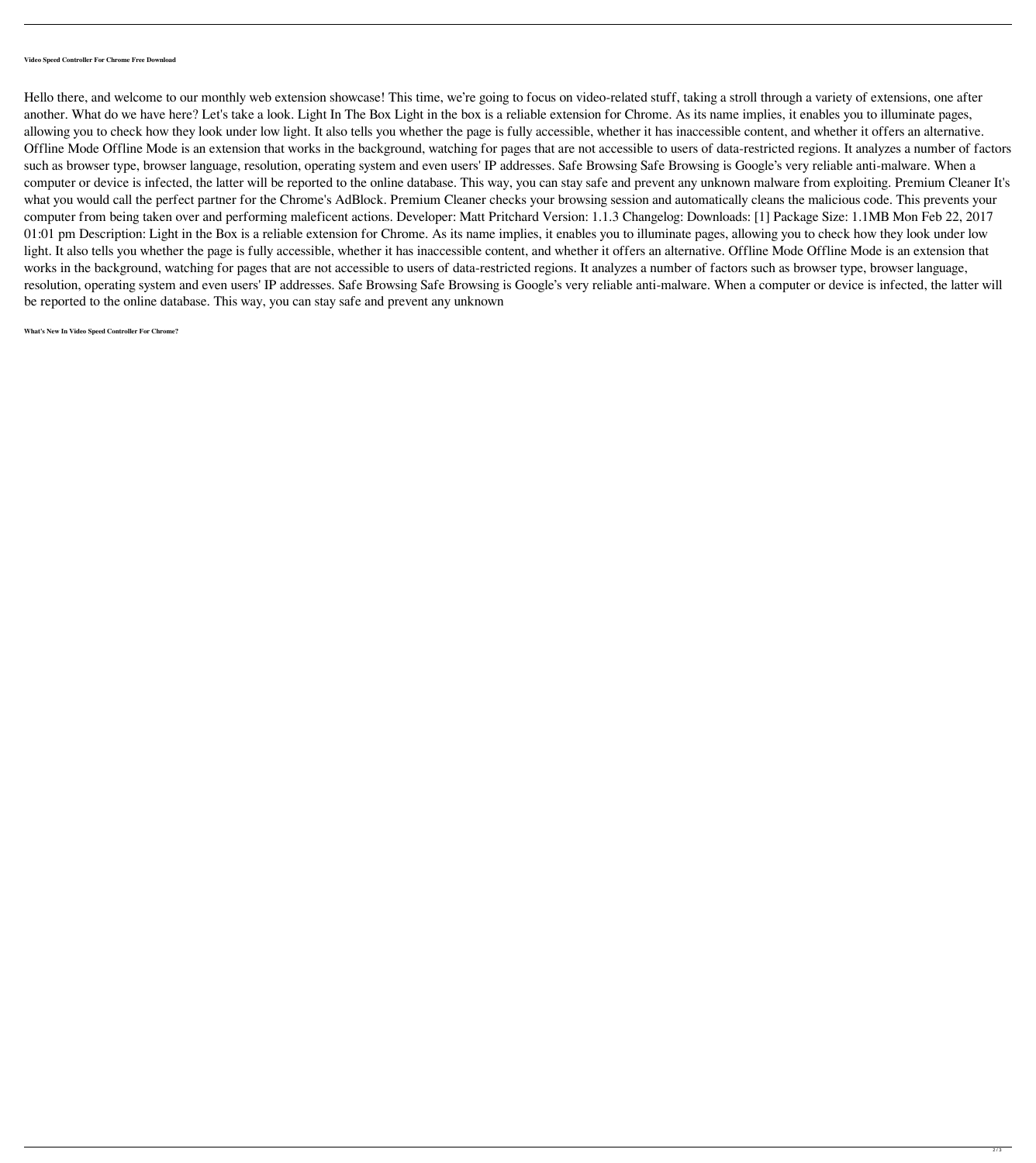## **Video Speed Controller For Chrome Free Download**

Hello there, and welcome to our monthly web extension showcase! This time, we're going to focus on video-related stuff, taking a stroll through a variety of extensions, one after another. What do we have here? Let's take a look. Light In The Box Light in the box is a reliable extension for Chrome. As its name implies, it enables you to illuminate pages, allowing you to check how they look under low light. It also tells you whether the page is fully accessible, whether it has inaccessible content, and whether it offers an alternative. Offline Mode Offline Mode is an extension that works in the background, watching for pages that are not accessible to users of data-restricted regions. It analyzes a number of factors such as browser type, browser language, resolution, operating system and even users' IP addresses. Safe Browsing Safe Browsing is Google's very reliable anti-malware. When a computer or device is infected, the latter will be reported to the online database. This way, you can stay safe and prevent any unknown malware from exploiting. Premium Cleaner It's what you would call the perfect partner for the Chrome's AdBlock. Premium Cleaner checks your browsing session and automatically cleans the malicious code. This prevents your computer from being taken over and performing maleficent actions. Developer: Matt Pritchard Version: 1.1.3 Changelog: Downloads: [1] Package Size: 1.1MB Mon Feb 22, 2017 01:01 pm Description: Light in the Box is a reliable extension for Chrome. As its name implies, it enables you to illuminate pages, allowing you to check how they look under low light. It also tells you whether the page is fully accessible, whether it has inaccessible content, and whether it offers an alternative. Offline Mode Offline Mode is an extension that works in the background, watching for pages that are not accessible to users of data-restricted regions. It analyzes a number of factors such as browser type, browser language, resolution, operating system and even users' IP addresses. Safe Browsing Safe Browsing is Google's very reliable anti-malware. When a computer or device is infected, the latter will be reported to the online database. This way, you can stay safe and prevent any unknown

## **What's New In Video Speed Controller For Chrome?**